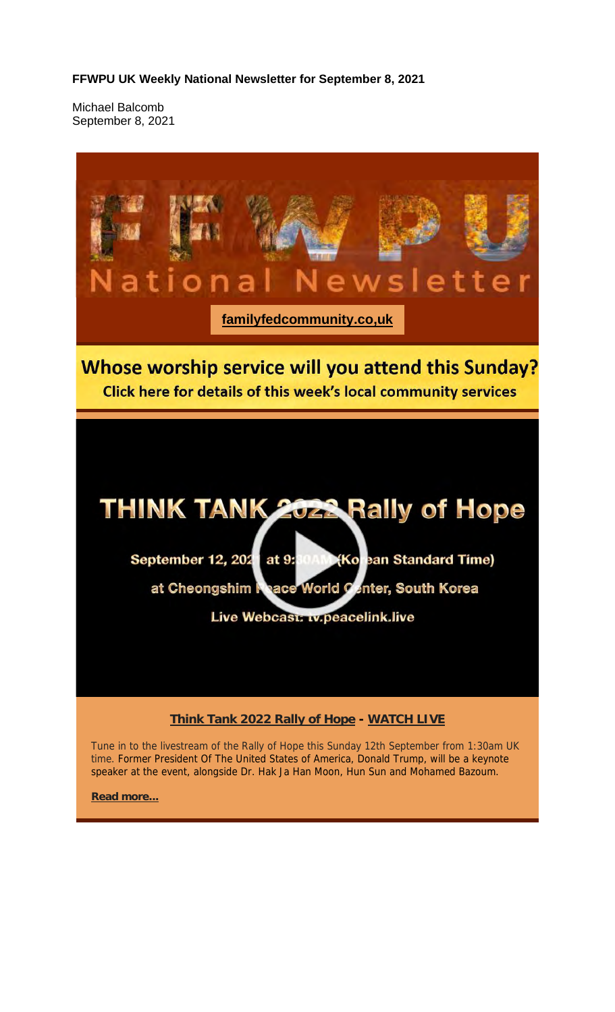**FFWPU UK Weekly National Newsletter for September 8, 2021**

Michael Balcomb September 8, 2021



Tune in to the livestream of the Rally of Hope this Sunday 12th September from 1:30am UK time. Former President Of The United States of America, Donald Trump, will be a keynote speaker at the event, alongside Dr. Hak Ja Han Moon, Hun Sun and Mohamed Bazoum.

**Read more...**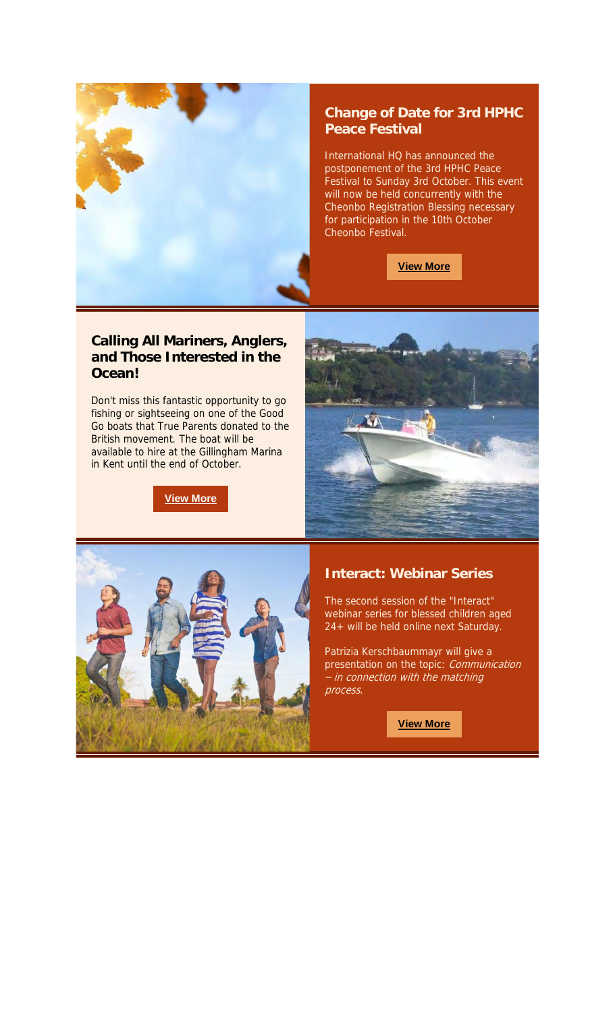

#### **Change of Date for 3rd HPHC Peace Festival**

International HQ has announced the postponement of the 3rd HPHC Peace Festival to Sunday 3rd October. This event will now be held concurrently with the Cheonbo Registration Blessing necessary for participation in the 10th October Cheonbo Festival.

**View More**

#### **Calling All Mariners, Anglers, and Those Interested in the Ocean!**

Don't miss this fantastic opportunity to go fishing or sightseeing on one of the Good Go boats that True Parents donated to the British movement. The boat will be available to hire at the Gillingham Marina in Kent until the end of October.

**View More**





#### **Interact: Webinar Series**

The second session of the "Interact" webinar series for blessed children aged 24+ will be held online next Saturday.

Patrizia Kerschbaummayr will give a presentation on the topic: *Communication* – in connection with the matching process.

**View More**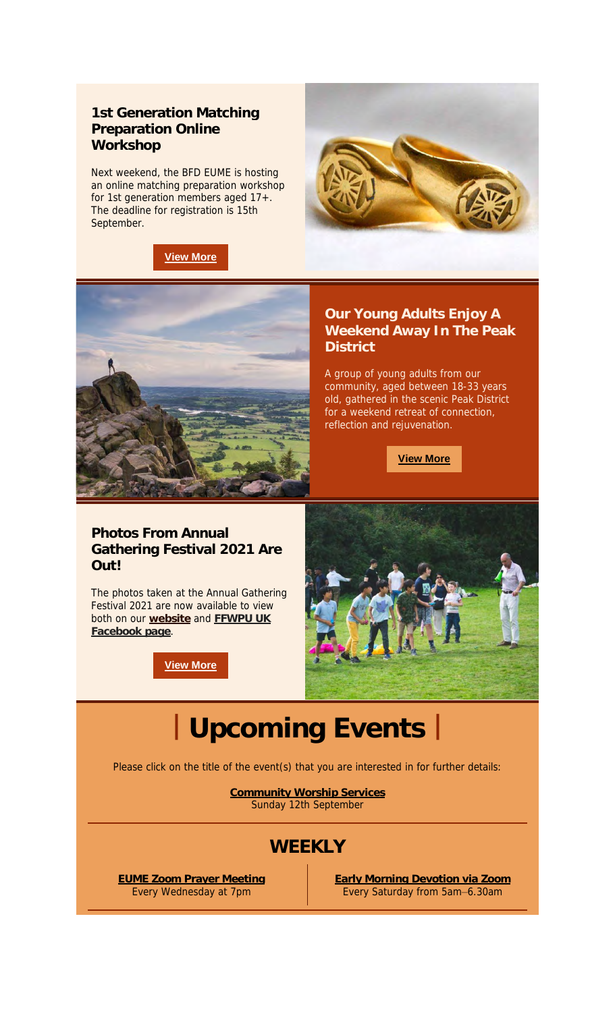#### **1st Generation Matching Preparation Online Workshop**

Next weekend, the BFD EUME is hosting an online matching preparation workshop for 1st generation members aged 17+. The deadline for registration is 15th September.







**Our Young Adults Enjoy A Weekend Away In The Peak District**

A group of young adults from our community, aged between 18-33 years old, gathered in the scenic Peak District for a weekend retreat of connection, reflection and rejuvenation.

**View More**

#### **Photos From Annual Gathering Festival 2021 Are Out!**

The photos taken at the Annual Gathering Festival 2021 are now available to view both on our **website** and **FFWPU UK Facebook page**.

**View More**



# **| Upcoming Events |**

Please click on the title of the event(s) that you are interested in for further details:

**Community Worship Services** Sunday 12th September

## **WEEKLY**

**EUME Zoom Prayer Meeting** Every Wednesday at 7pm

**Early Morning Devotion via Zoom** Every Saturday from 5am–6.30am